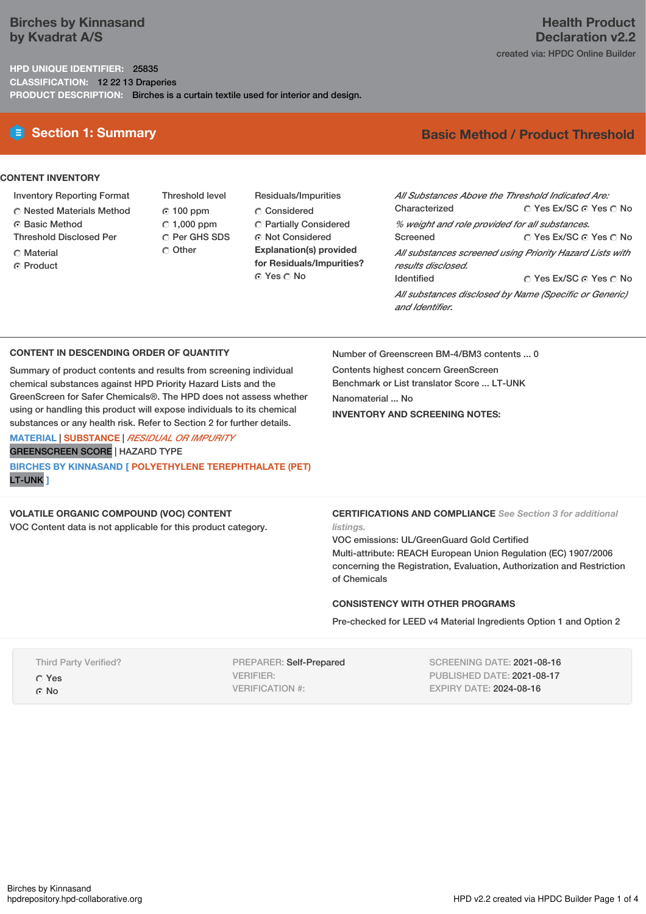# **Birches by Kinnasand by Kvadrat A/S**

**HPD UNIQUE IDENTIFIER:** 25835 **CLASSIFICATION:** 12 22 13 Draperies **PRODUCT DESCRIPTION:** Birches is a curtain textile used for interior and design.

## **CONTENT INVENTORY**

- Inventory Reporting Format
- Nested Materials Method
- Basic Method
- Threshold Disclosed Per
- **C** Material
- ⊙ Product
- Threshold level  $© 100 ppm$  $C$  1,000 ppm C Per GHS SDS O Other
- Residuals/Impurities Considered Partially Considered Not Considered **Explanation(s) provided for Residuals/Impurities?** ⊙ Yes O No

# **E** Section 1: Summary **Basic** Method / Product Threshold

**Health Product Declaration v2.2**

created via: HPDC Online Builder

| All Substances Above the Threshold Indicated Are:        |                        |  |  |  |  |
|----------------------------------------------------------|------------------------|--|--|--|--|
| Characterized                                            | ∩ Yes Ex/SC ∩ Yes ∩ No |  |  |  |  |
| % weight and role provided for all substances.           |                        |  |  |  |  |
| Screened                                                 | ∩ Yes Ex/SC ∩ Yes ∩ No |  |  |  |  |
| All substances screened using Priority Hazard Lists with |                        |  |  |  |  |
| results disclosed.                                       |                        |  |  |  |  |
| <b>Identified</b>                                        | ∩ Yes Ex/SC ∩ Yes ∩ No |  |  |  |  |
| All substances disclosed by Name (Specific or Generic)   |                        |  |  |  |  |
| and Identifier.                                          |                        |  |  |  |  |

### **CONTENT IN DESCENDING ORDER OF QUANTITY**

Summary of product contents and results from screening individual chemical substances against HPD Priority Hazard Lists and the GreenScreen for Safer Chemicals®. The HPD does not assess whether using or handling this product will expose individuals to its chemical substances or any health risk. Refer to Section 2 for further details.

## **MATERIAL** | **SUBSTANCE** | *RESIDUAL OR IMPURITY* GREENSCREEN SCORE | HAZARD TYPE **BIRCHES BY KINNASAND [ POLYETHYLENE TEREPHTHALATE (PET)** LT-UNK **]**

**VOLATILE ORGANIC COMPOUND (VOC) CONTENT**

VOC Content data is not applicable for this product category.

Number of Greenscreen BM-4/BM3 contents ... 0

Contents highest concern GreenScreen Benchmark or List translator Score ... LT-UNK Nanomaterial ... No **INVENTORY AND SCREENING NOTES:**

**CERTIFICATIONS AND COMPLIANCE** *See Section 3 for additional listings.*

VOC emissions: UL/GreenGuard Gold Certified Multi-attribute: REACH European Union Regulation (EC) 1907/2006 concerning the Registration, Evaluation, Authorization and Restriction of Chemicals

## **CONSISTENCY WITH OTHER PROGRAMS**

Pre-checked for LEED v4 Material Ingredients Option 1 and Option 2

| <b>Third Party Verified?</b> |
|------------------------------|
| C Yes                        |
| ⊙ No                         |

PREPARER: Self-Prepared VERIFIER: VERIFICATION #:

SCREENING DATE: 2021-08-16 PUBLISHED DATE: 2021-08-17 EXPIRY DATE: 2024-08-16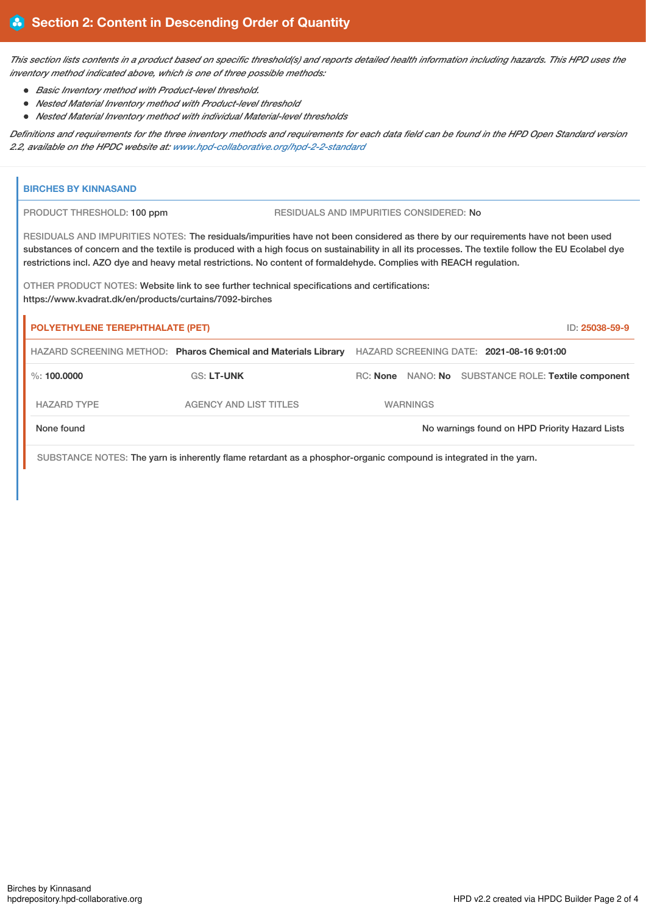This section lists contents in a product based on specific threshold(s) and reports detailed health information including hazards. This HPD uses the *inventory method indicated above, which is one of three possible methods:*

- *Basic Inventory method with Product-level threshold.*
- *Nested Material Inventory method with Product-level threshold*
- *Nested Material Inventory method with individual Material-level thresholds*

Definitions and requirements for the three inventory methods and requirements for each data field can be found in the HPD Open Standard version *2.2, available on the HPDC website at: [www.hpd-collaborative.org/hpd-2-2-standard](https://www.hpd-collaborative.org/hpd-2-2-standard)*

| <b>BIRCHES BY KINNASAND</b>                                                                                                                                                                                                                                                                                                                                                                                     |                                                                                                                   |  |                 |  |                                                     |
|-----------------------------------------------------------------------------------------------------------------------------------------------------------------------------------------------------------------------------------------------------------------------------------------------------------------------------------------------------------------------------------------------------------------|-------------------------------------------------------------------------------------------------------------------|--|-----------------|--|-----------------------------------------------------|
| PRODUCT THRESHOLD: 100 ppm                                                                                                                                                                                                                                                                                                                                                                                      | RESIDUALS AND IMPURITIES CONSIDERED: No                                                                           |  |                 |  |                                                     |
| RESIDUALS AND IMPURITIES NOTES: The residuals/impurities have not been considered as there by our requirements have not been used<br>substances of concern and the textile is produced with a high focus on sustainability in all its processes. The textile follow the EU Ecolabel dye<br>restrictions incl. AZO dye and heavy metal restrictions. No content of formaldehyde. Complies with REACH regulation. |                                                                                                                   |  |                 |  |                                                     |
| OTHER PRODUCT NOTES: Website link to see further technical specifications and certifications:<br>https://www.kvadrat.dk/en/products/curtains/7092-birches                                                                                                                                                                                                                                                       |                                                                                                                   |  |                 |  |                                                     |
| <b>POLYETHYLENE TEREPHTHALATE (PET)</b><br>ID: 25038-59-9                                                                                                                                                                                                                                                                                                                                                       |                                                                                                                   |  |                 |  |                                                     |
|                                                                                                                                                                                                                                                                                                                                                                                                                 | HAZARD SCREENING METHOD: Pharos Chemical and Materials Library HAZARD SCREENING DATE: 2021-08-16 9:01:00          |  |                 |  |                                                     |
| $\%$ : 100,0000                                                                                                                                                                                                                                                                                                                                                                                                 | <b>GS: LT-UNK</b>                                                                                                 |  |                 |  | RC: None NANO: No SUBSTANCE ROLE: Textile component |
| <b>HAZARD TYPE</b>                                                                                                                                                                                                                                                                                                                                                                                              | <b>AGENCY AND LIST TITLES</b>                                                                                     |  | <b>WARNINGS</b> |  |                                                     |
| None found                                                                                                                                                                                                                                                                                                                                                                                                      |                                                                                                                   |  |                 |  | No warnings found on HPD Priority Hazard Lists      |
|                                                                                                                                                                                                                                                                                                                                                                                                                 | SUBSTANCE NOTES: The yarn is inherently flame retardant as a phosphor-organic compound is integrated in the yarn. |  |                 |  |                                                     |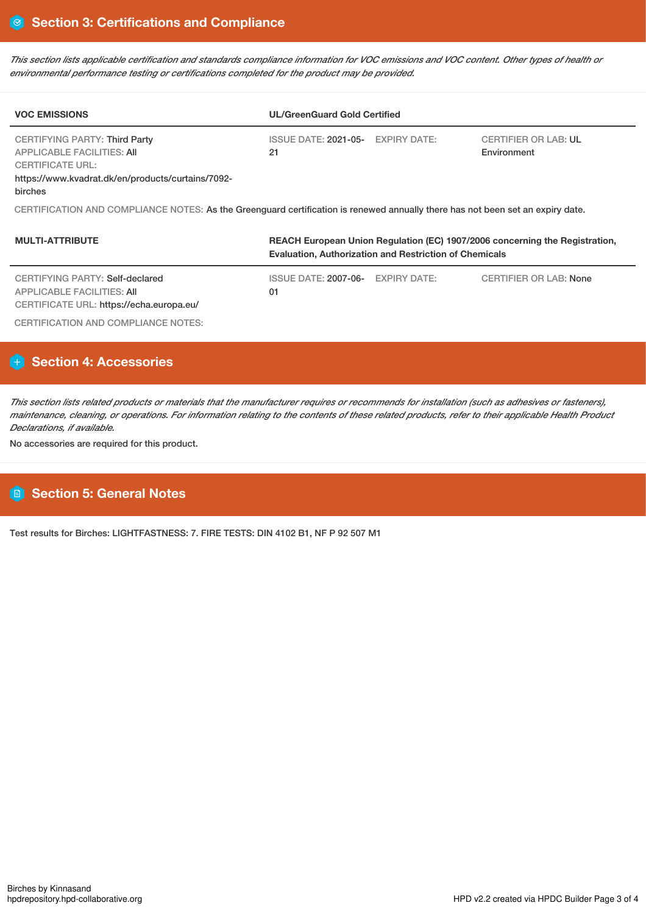This section lists applicable certification and standards compliance information for VOC emissions and VOC content. Other types of health or *environmental performance testing or certifications completed for the product may be provided.*

| <b>VOC EMISSIONS</b>                                                                                                                                   | <b>UL/GreenGuard Gold Certified</b>     |                                            |  |  |  |
|--------------------------------------------------------------------------------------------------------------------------------------------------------|-----------------------------------------|--------------------------------------------|--|--|--|
| CERTIFYING PARTY: Third Party<br>APPLICABLE FACILITIES: AII<br><b>CERTIFICATE URL:</b><br>https://www.kvadrat.dk/en/products/curtains/7092-<br>birches | ISSUE DATE: 2021-05- EXPIRY DATE:<br>21 | <b>CERTIFIER OR LAB: UL</b><br>Environment |  |  |  |
| CERTIFICATION AND COMPLIANCE NOTES: As the Greenguard certification is renewed annually there has not been set an expiry date.                         |                                         |                                            |  |  |  |

| REACH European Union Regulation (EC) 1907/2006 concerning the Registration,<br><b>MULTI-ATTRIBUTE</b><br><b>Evaluation, Authorization and Restriction of Chemicals</b> |                                   |              |                               |  |
|------------------------------------------------------------------------------------------------------------------------------------------------------------------------|-----------------------------------|--------------|-------------------------------|--|
| CERTIFYING PARTY: Self-declared<br>APPLICABLE FACILITIES: AII<br>CERTIFICATE URL: https://echa.europa.eu/                                                              | <b>ISSUE DATE: 2007-06-</b><br>01 | EXPIRY DATE: | <b>CERTIFIER OR LAB: None</b> |  |
| CERTIFICATION AND COMPLIANCE NOTES:                                                                                                                                    |                                   |              |                               |  |

# **Section 4: Accessories**

This section lists related products or materials that the manufacturer requires or recommends for installation (such as adhesives or fasteners), maintenance, cleaning, or operations. For information relating to the contents of these related products, refer to their applicable Health Product *Declarations, if available.*

No accessories are required for this product.

# **Section 5: General Notes**

Test results for Birches: LIGHTFASTNESS: 7. FIRE TESTS: DIN 4102 B1, NF P 92 507 M1